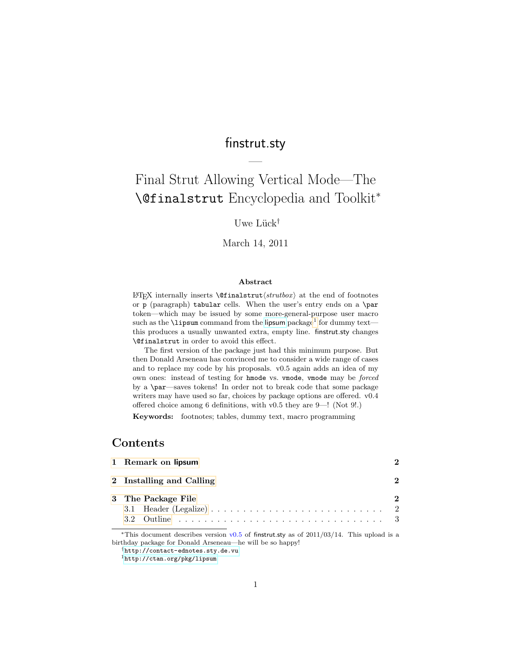## finstrut.sty

—

# Final Strut Allowing Vertical Mode—The \@finalstrut Encyclopedia and Toolkit<sup>∗</sup>

### Uwe Lück<sup>†</sup>

#### March 14, 2011

#### Abstract

LAT<sub>EX</sub> internally inserts  $\of$ inalstrut $\langle$ *strutbox* $\rangle$  at the end of footnotes or p (paragraph) tabular cells. When the user's entry ends on a \par token—which may be issued by some more-general-purpose user macro such as the **\[lipsum](http://ctan.org/pkg/lipsum)** command from the li**psum** package<sup>[1](#page-0-0)</sup> for dummy text this produces a usually unwanted extra, empty line. finstrut.sty changes \@finalstrut in order to avoid this effect.

The first version of the package just had this minimum purpose. But then Donald Arseneau has convinced me to consider a wide range of cases and to replace my code by his proposals. v0.5 again adds an idea of my own ones: instead of testing for hmode vs. vmode, vmode may be forced by a \par—saves tokens! In order not to break code that some package writers may have used so far, choices by package options are offered. v0.4 offered choice among 6 definitions, with v0.5 they are 9—! (Not 9!.)

Keywords: footnotes; tables, dummy text, macro programming

### Contents

| 1 Remark on lipsum                                                                                             |  |
|----------------------------------------------------------------------------------------------------------------|--|
| 2 Installing and Calling                                                                                       |  |
| 3 The Package File<br>3.1 Header (Legalize) $\ldots \ldots \ldots \ldots \ldots \ldots \ldots \ldots \ldots 2$ |  |

\*This document describes version  $v0.5$  of finstrut.sty as of 2011/03/14. This upload is a birthday package for Donald Arseneau—he will be so happy!

<sup>†</sup><http://contact-ednotes.sty.de.vu>

<span id="page-0-0"></span><sup>1</sup><http://ctan.org/pkg/lipsum>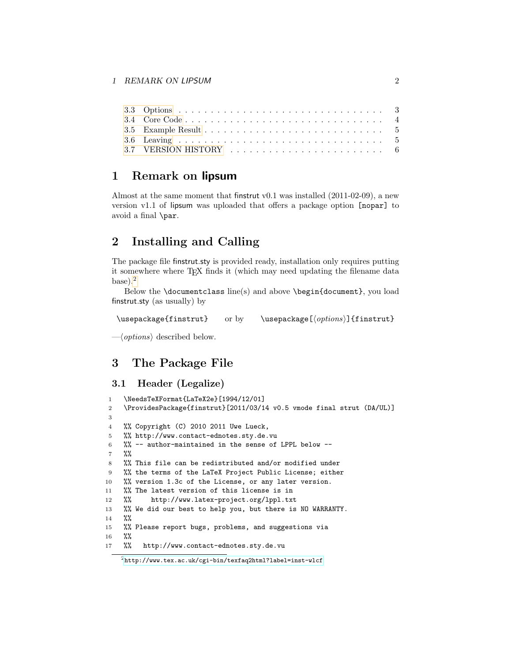|  |  |  |  |  |  |  |  |  |  |  |  |  | $3.5$ Example Result $\dots\dots\dots\dots\dots\dots\dots\dots\dots\dots\dots\dots\dots\dots\dots\dots\dots$ |
|--|--|--|--|--|--|--|--|--|--|--|--|--|--------------------------------------------------------------------------------------------------------------|

### <span id="page-1-0"></span>1 Remark on lipsum

Almost at the same moment that finstrut v0.1 was installed (2011-02-09), a new version v1.1 of lipsum was uploaded that offers a package option [nopar] to avoid a final \par.

### <span id="page-1-1"></span>2 Installing and Calling

The package file finstrut.sty is provided ready, installation only requires putting it somewhere where T<sub>E</sub>X finds it (which may need updating the filename data  $base).<sup>2</sup>$  $base).<sup>2</sup>$  $base).<sup>2</sup>$ 

Below the \documentclass line(s) and above \begin{document}, you load finstrut.sty (as usually) by

\usepackage{finstrut} or by \usepackage[ $\{options\}$ ]{finstrut}

 $-\langle options \rangle$  described below.

### <span id="page-1-2"></span>3 The Package File

### <span id="page-1-3"></span>3.1 Header (Legalize)

```
1 \NeedsTeXFormat{LaTeX2e}[1994/12/01]
2 \ProvidesPackage{finstrut}[2011/03/14 v0.5 vmode final strut (DA/UL)]
3
4 %% Copyright (C) 2010 2011 Uwe Lueck,
5 %% http://www.contact-ednotes.sty.de.vu
6 %% -- author-maintained in the sense of LPPL below --
7 %%
8 %% This file can be redistributed and/or modified under
9 %% the terms of the LaTeX Project Public License; either
10 %% version 1.3c of the License, or any later version.
11 %% The latest version of this license is in
12 %% http://www.latex-project.org/lppl.txt
13 %% We did our best to help you, but there is NO WARRANTY.
14 %%
15 %% Please report bugs, problems, and suggestions via
16 %%
17 %% http://www.contact-ednotes.sty.de.vu
```
<span id="page-1-4"></span> $^2$ <http://www.tex.ac.uk/cgi-bin/texfaq2html?label=inst-wlcf>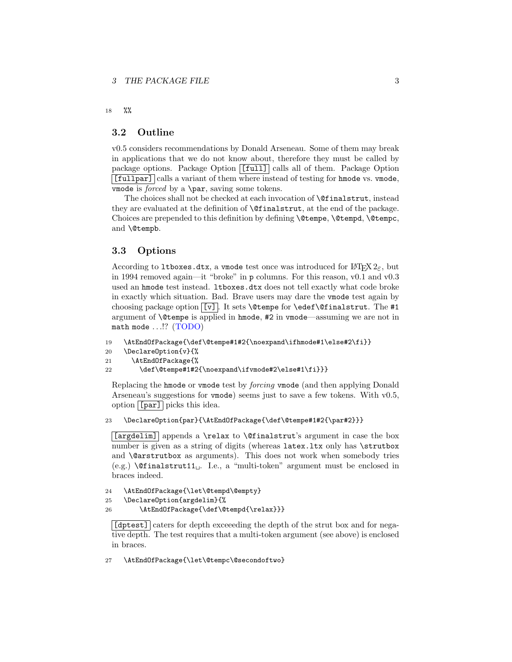18 %%

#### <span id="page-2-0"></span>3.2 Outline

v0.5 considers recommendations by Donald Arseneau. Some of them may break in applications that we do not know about, therefore they must be called by package options. Package Option  $\boxed{[full]}$  calls all of them. Package Option [fullpar] calls a variant of them where instead of testing for hmode vs. vmode, vmode is *forced* by a  $\parrow$  saving some tokens.

The choices shall not be checked at each invocation of \@finalstrut, instead they are evaluated at the definition of \@finalstrut, at the end of the package. Choices are prepended to this definition by defining \@tempe, \@tempd, \@tempc, and \@tempb.

#### <span id="page-2-1"></span>3.3 Options

According to 1tboxes.dtx, a vmode test once was introduced for  $\mathbb{I}\mathrm{H}\mathrm{F} X2_\varepsilon$ , but in 1994 removed again—it "broke" in p columns. For this reason, v0.1 and v0.3 used an hmode test instead. ltboxes.dtx does not tell exactly what code broke in exactly which situation. Bad. Brave users may dare the vmode test again by choosing package option  $\boxed{v}$ . It sets **\@tempe** for **\edef\@finalstrut**. The #1 argument of \@tempe is applied in hmode, #2 in vmode—assuming we are not in math mode  $\ldots$  ? (TODO)

```
19 \AtEndOfPackage{\def\@tempe#1#2{\noexpand\ifhmode#1\else#2\fi}}
```

```
20 \DeclareOption{v}{%
```

```
21 \AtEndOfPackage{%
```
22 \def\@tempe#1#2{\noexpand\ifvmode#2\else#1\fi}}}

Replacing the hmode or vmode test by forcing vmode (and then applying Donald Arseneau's suggestions for vmode) seems just to save a few tokens. With v0.5, option  $\lceil \lceil \overline{par} \rceil \rceil$  picks this idea.

23 \DeclareOption{par}{\AtEndOfPackage{\def\@tempe#1#2{\par#2}}}

[argdelim] appends a \relax to \@finalstrut's argument in case the box number is given as a string of digits (whereas latex.ltx only has \strutbox and \@arstrutbox as arguments). This does not work when somebody tries (e.g.)  $\text{{{\&}}$  (e.g.)  $\text{{{\&}}$  finalstrut11. I.e., a "multi-token" argument must be enclosed in braces indeed.

```
24 \AtEndOfPackage{\let\@tempd\@empty}
```

```
25 \DeclareOption{argdelim}{%
```
26 \AtEndOfPackage{\def\@tempd{\relax}}}

[dptest] caters for depth exceeeding the depth of the strut box and for negative depth. The test requires that a multi-token argument (see above) is enclosed in braces.

27 \AtEndOfPackage{\let\@tempc\@secondoftwo}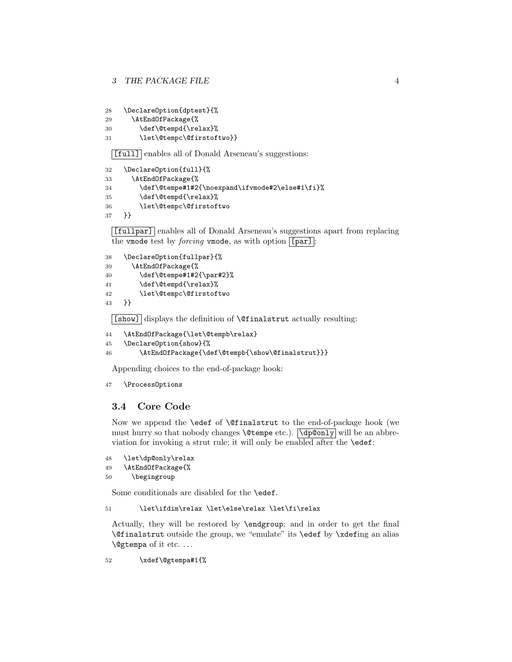```
28 \DeclareOption{dptest}{%
```
- 29 \AtEndOfPackage{%
- 30 \def\@tempd{\relax}%
- 31 \let\@tempc\@firstoftwo}}

[full] enables all of Donald Arseneau's suggestions:

```
32 \DeclareOption{full}{%
33 \AtEndOfPackage{%
34 \def\@tempe#1#2{\noexpand\ifvmode#2\else#1\fi}%
35 \def\@tempd{\relax}%
36 \let\@tempc\@firstoftwo
37 }}
```
[fullpar] enables all of Donald Arseneau's suggestions apart from replacing the vmode test by *forcing* vmode, as with option  $\lceil \lceil \text{par} \rceil \rceil$ :

```
38 \DeclareOption{fullpar}{%
39 \AtEndOfPackage{%
40 \def\@tempe#1#2{\par#2}%
41 \def\@tempd{\relax}%
42 \let\@tempc\@firstoftwo
43 }}
```
 $|\text{[show]}|$  displays the definition of  $\text{^\theta\text{-}normalstrut}$  actually resulting:

```
44 \AtEndOfPackage{\let\@tempb\relax}
```

```
45 \DeclareOption{show}{%
```

```
46 \AtEndOfPackage{\def\@tempb{\show\@finalstrut}}}
```
Appending choices to the end-of-package hook:

```
47 \ProcessOptions
```
### <span id="page-3-0"></span>3.4 Core Code

Now we append the \edef of \@finalstrut to the end-of-package hook (we must hurry so that nobody changes **\@tempe** etc.).  $\overline{\text{d}p@only}$  will be an abbreviation for invoking a strut rule; it will only be enabled after the \edef:

```
48 \let\dp@only\relax
49 \AtEndOfPackage{%
50 \begingroup
```
Some conditionals are disabled for the \edef.

```
51 \let\ifdim\relax \let\else\relax \let\fi\relax
```
Actually, they will be restored by \endgroup; and in order to get the final \@finalstrut outside the group, we "emulate" its \edef by \xdefing an alias \@gtempa of it etc. . . .

52 \xdef\@gtempa#1{%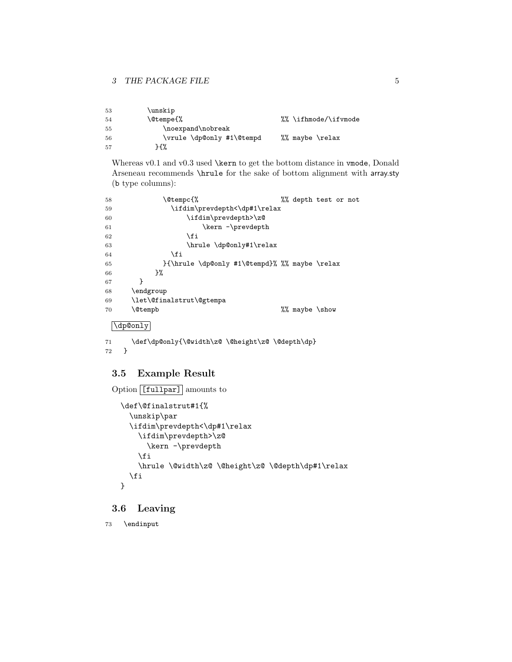| 53 | \unskip                   |                      |
|----|---------------------------|----------------------|
| 54 | \@tempe{%                 | %% \ifhmode/\ifvmode |
| 55 | \noexpand\nobreak         |                      |
| 56 | \vrule \dp@only #1\@tempd | %% maybe \relax      |
| 57 | ጉ ና ሂ                     |                      |

Whereas v0.1 and v0.3 used \kern to get the bottom distance in vmode, Donald Arseneau recommends \hrule for the sake of bottom alignment with array.sty (b type columns):

| 58 | \@tempc{%<br>%% depth test or not             |  |
|----|-----------------------------------------------|--|
| 59 | \ifdim\prevdepth<\dp#1\relax                  |  |
| 60 | \ifdim\prevdepth>\z@                          |  |
| 61 | \kern -\prevdepth                             |  |
| 62 | \fi                                           |  |
| 63 | \hrule \dp@only#1\relax                       |  |
| 64 | \fi                                           |  |
| 65 | }{\hrule \dp@only #1\@tempd}% %% maybe \relax |  |
| 66 | }%                                            |  |
| 67 | ł                                             |  |
| 68 | \endgroup                                     |  |
| 69 | \let\@finalstrut\@gtempa                      |  |
| 70 | <b>\@tempb</b><br>%% maybe \show              |  |
|    | \dp@only                                      |  |

```
71 \def\dp@only{\@width\z@ \@height\z@ \@depth\dp}
72 }
```
### <span id="page-4-0"></span>3.5 Example Result

```
Option [[fullpar] amounts to
  \def\@finalstrut#1{%
    \unskip\par
    \ifdim\prevdepth<\dp#1\relax
      \ifdim\prevdepth>\z@
        \kern -\prevdepth
      \fi
      \hrule \@width\z@ \@height\z@ \@depth\dp#1\relax
    \fi
 }
```
### <span id="page-4-1"></span>3.6 Leaving

```
73 \endinput
```